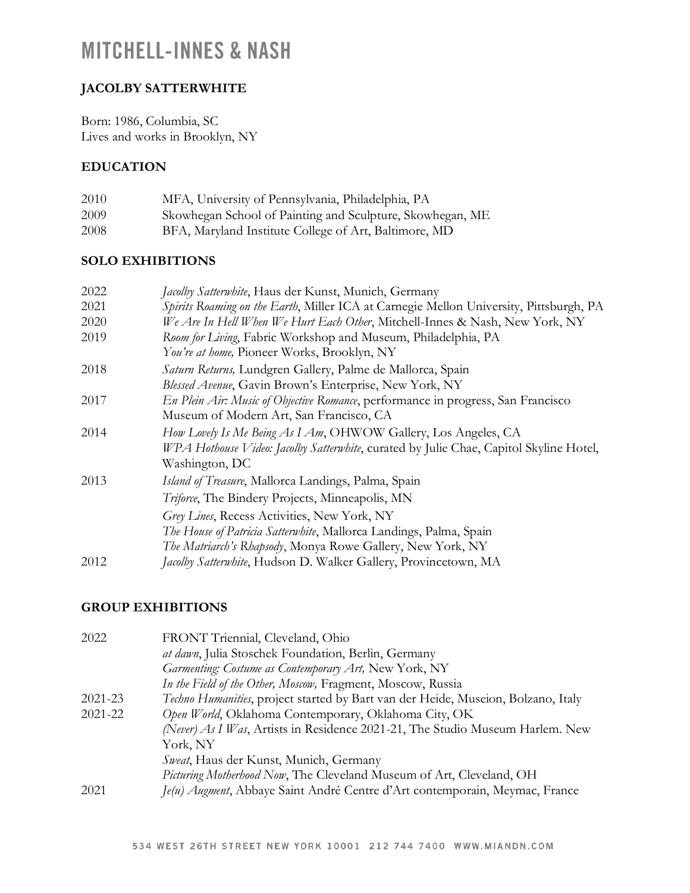### **JACOLBY SATTERWHITE**

Born: 1986, Columbia, SC Lives and works in Brooklyn, NY

#### **EDUCATION**

| 2010 | MFA, University of Pennsylvania, Philadelphia, PA         |
|------|-----------------------------------------------------------|
| 2009 | Skowhegan School of Painting and Sculpture, Skowhegan, ME |
| 2008 | BFA, Maryland Institute College of Art, Baltimore, MD     |

#### **SOLO EXHIBITIONS**

| 2022 | Jacolby Satterwhite, Haus der Kunst, Munich, Germany                                   |
|------|----------------------------------------------------------------------------------------|
| 2021 | Spirits Roaming on the Earth, Miller ICA at Carnegie Mellon University, Pittsburgh, PA |
| 2020 | We Are In Hell When We Hurt Each Other, Mitchell-Innes & Nash, New York, NY            |
| 2019 | Room for Living, Fabric Workshop and Museum, Philadelphia, PA                          |
|      | You're at home, Pioneer Works, Brooklyn, NY                                            |
| 2018 | Saturn Returns, Lundgren Gallery, Palme de Mallorca, Spain                             |
|      | Blessed Avenue, Gavin Brown's Enterprise, New York, NY                                 |
| 2017 | En Plein Air: Music of Objective Romance, performance in progress, San Francisco       |
|      | Museum of Modern Art, San Francisco, CA                                                |
| 2014 | How Lovely Is Me Being As I Am, OHWOW Gallery, Los Angeles, CA                         |
|      | WPA Hothouse Video: Jacolby Satterwhite, curated by Julie Chae, Capitol Skyline Hotel, |
|      | Washington, DC                                                                         |
| 2013 | <i>Island of Treasure</i> , Mallorca Landings, Palma, Spain                            |
|      | Triforce, The Bindery Projects, Minneapolis, MN                                        |
|      | Grey Lines, Recess Activities, New York, NY                                            |
|      | The House of Patricia Satterwhite, Mallorca Landings, Palma, Spain                     |
|      | The Matriarch's Rhapsody, Monya Rowe Gallery, New York, NY                             |
| 2012 | Jacolby Satterwhite, Hudson D. Walker Gallery, Provincetown, MA                        |

#### **GROUP EXHIBITIONS**

| 2022    | FRONT Triennial, Cleveland, Ohio                                                  |
|---------|-----------------------------------------------------------------------------------|
|         | at dawn, Julia Stoschek Foundation, Berlin, Germany                               |
|         | Garmenting: Costume as Contemporary Art, New York, NY                             |
|         | In the Field of the Other, Moscow, Fragment, Moscow, Russia                       |
| 2021-23 | Techno Humanities, project started by Bart van der Heide, Museion, Bolzano, Italy |
| 2021-22 | Open World, Oklahoma Contemporary, Oklahoma City, OK                              |
|         | (Never) As I Was, Artists in Residence 2021-21, The Studio Museum Harlem. New     |
|         | York, NY                                                                          |
|         | Sweat, Haus der Kunst, Munich, Germany                                            |
|         | Picturing Motherhood Now, The Cleveland Museum of Art, Cleveland, OH              |
| 2021    | Je(u) Augment, Abbaye Saint André Centre d'Art contemporain, Meymac, France       |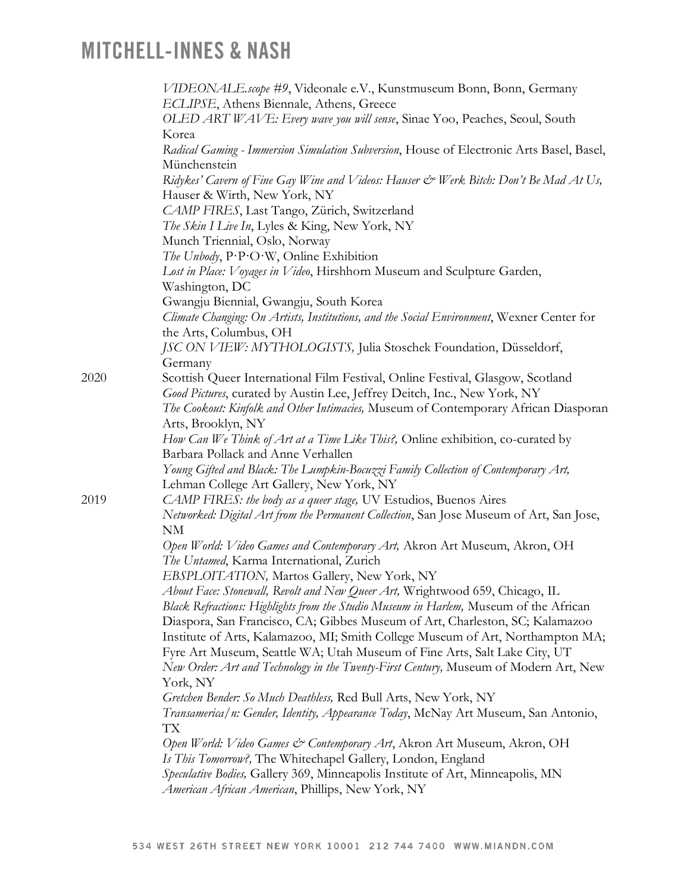|      | VIDEONALE.scope #9, Videonale e.V., Kunstmuseum Bonn, Bonn, Germany<br>ECLIPSE, Athens Biennale, Athens, Greece                        |
|------|----------------------------------------------------------------------------------------------------------------------------------------|
|      | OLED ART WAVE: Every wave you will sense, Sinae Yoo, Peaches, Seoul, South                                                             |
|      | Korea                                                                                                                                  |
|      | Radical Gaming - Immersion Simulation Subversion, House of Electronic Arts Basel, Basel,                                               |
|      | Münchenstein                                                                                                                           |
|      | Ridykes' Cavern of Fine Gay Wine and Videos: Hauser & Werk Bitch: Don't Be Mad At Us,<br>Hauser & Wirth, New York, NY                  |
|      | CAMP FIRES, Last Tango, Zürich, Switzerland                                                                                            |
|      | The Skin I Live In, Lyles & King, New York, NY                                                                                         |
|      | Munch Triennial, Oslo, Norway                                                                                                          |
|      | The Unbody, P.P.O.W, Online Exhibition                                                                                                 |
|      | Lost in Place: Voyages in Video, Hirshhorn Museum and Sculpture Garden,                                                                |
|      | Washington, DC                                                                                                                         |
|      | Gwangju Biennial, Gwangju, South Korea                                                                                                 |
|      | Climate Changing: On Artists, Institutions, and the Social Environment, Wexner Center for<br>the Arts, Columbus, OH                    |
|      | JSC ON VIEW: MYTHOLOGISTS, Julia Stoschek Foundation, Düsseldorf,<br>Germany                                                           |
| 2020 | Scottish Queer International Film Festival, Online Festival, Glasgow, Scotland                                                         |
|      | Good Pictures, curated by Austin Lee, Jeffrey Deitch, Inc., New York, NY                                                               |
|      | The Cookout: Kinfolk and Other Intimacies, Museum of Contemporary African Diasporan                                                    |
|      | Arts, Brooklyn, NY                                                                                                                     |
|      | How Can We Think of Art at a Time Like This?, Online exhibition, co-curated by                                                         |
|      | Barbara Pollack and Anne Verhallen                                                                                                     |
|      | Young Gifted and Black: The Lumpkin-Bocuzzi Family Collection of Contemporary Art,                                                     |
|      | Lehman College Art Gallery, New York, NY                                                                                               |
| 2019 | CAMP FIRES: the body as a queer stage, UV Estudios, Buenos Aires                                                                       |
|      | Networked: Digital Art from the Permanent Collection, San Jose Museum of Art, San Jose,<br>NM                                          |
|      | Open World: Video Games and Contemporary Art, Akron Art Museum, Akron, OH                                                              |
|      | The Untamed, Karma International, Zurich                                                                                               |
|      | EBSPLOITATION, Martos Gallery, New York, NY                                                                                            |
|      | About Face: Stonewall, Revolt and New Queer Art, Wrightwood 659, Chicago, IL                                                           |
|      | Black Refractions: Highlights from the Studio Museum in Harlem, Museum of the African                                                  |
|      | Diaspora, San Francisco, CA; Gibbes Museum of Art, Charleston, SC; Kalamazoo                                                           |
|      | Institute of Arts, Kalamazoo, MI; Smith College Museum of Art, Northampton MA;                                                         |
|      | Fyre Art Museum, Seattle WA; Utah Museum of Fine Arts, Salt Lake City, UT                                                              |
|      | New Order: Art and Technology in the Twenty-First Century, Museum of Modern Art, New                                                   |
|      | York, NY                                                                                                                               |
|      | Gretchen Bender: So Much Deathless, Red Bull Arts, New York, NY                                                                        |
|      | Transamerica/n: Gender, Identity, Appearance Today, McNay Art Museum, San Antonio,                                                     |
|      | TХ                                                                                                                                     |
|      | Open World: Video Games & Contemporary Art, Akron Art Museum, Akron, OH<br>Is This Tomorrow?, The Whitechapel Gallery, London, England |
|      | Speculative Bodies, Gallery 369, Minneapolis Institute of Art, Minneapolis, MN                                                         |
|      | American African American, Phillips, New York, NY                                                                                      |
|      |                                                                                                                                        |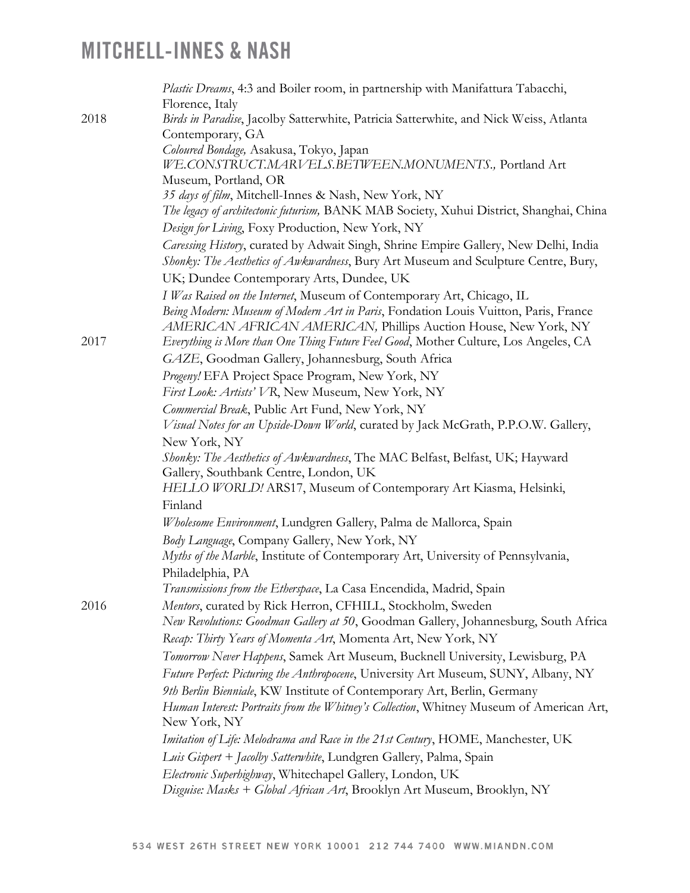|      | Plastic Dreams, 4:3 and Boiler room, in partnership with Manifattura Tabacchi,           |
|------|------------------------------------------------------------------------------------------|
|      | Florence, Italy                                                                          |
| 2018 | Birds in Paradise, Jacolby Satterwhite, Patricia Satterwhite, and Nick Weiss, Atlanta    |
|      | Contemporary, GA                                                                         |
|      | Coloured Bondage, Asakusa, Tokyo, Japan                                                  |
|      | WE.CONSTRUCT.MARVELS.BETWEEN.MONUMENTS., Portland Art                                    |
|      | Museum, Portland, OR                                                                     |
|      | 35 days of film, Mitchell-Innes & Nash, New York, NY                                     |
|      | The legacy of architectonic futurism, BANK MAB Society, Xuhui District, Shanghai, China  |
|      | Design for Living, Foxy Production, New York, NY                                         |
|      | Caressing History, curated by Adwait Singh, Shrine Empire Gallery, New Delhi, India      |
|      | Shonky: The Aesthetics of Awkwardness, Bury Art Museum and Sculpture Centre, Bury,       |
|      | UK; Dundee Contemporary Arts, Dundee, UK                                                 |
|      | I Was Raised on the Internet, Museum of Contemporary Art, Chicago, IL                    |
|      | Being Modern: Museum of Modern Art in Paris, Fondation Louis Vuitton, Paris, France      |
|      | AMERICAN AFRICAN AMERICAN, Phillips Auction House, New York, NY                          |
| 2017 | Everything is More than One Thing Future Feel Good, Mother Culture, Los Angeles, CA      |
|      | GAZE, Goodman Gallery, Johannesburg, South Africa                                        |
|      | Progeny! EFA Project Space Program, New York, NY                                         |
|      | First Look: Artists' VR, New Museum, New York, NY                                        |
|      | Commercial Break, Public Art Fund, New York, NY                                          |
|      | Visual Notes for an Upside-Down World, curated by Jack McGrath, P.P.O.W. Gallery,        |
|      | New York, NY                                                                             |
|      | Shonky: The Aesthetics of Awkwardness, The MAC Belfast, Belfast, UK; Hayward             |
|      | Gallery, Southbank Centre, London, UK                                                    |
|      | HELLO WORLD! ARS17, Museum of Contemporary Art Kiasma, Helsinki,                         |
|      | Finland                                                                                  |
|      | Wholesome Environment, Lundgren Gallery, Palma de Mallorca, Spain                        |
|      | Body Language, Company Gallery, New York, NY                                             |
|      | Myths of the Marble, Institute of Contemporary Art, University of Pennsylvania,          |
|      | Philadelphia, PA                                                                         |
|      | Transmissions from the Etherspace, La Casa Encendida, Madrid, Spain                      |
| 2016 | Mentors, curated by Rick Herron, CFHILL, Stockholm, Sweden                               |
|      | New Revolutions: Goodman Gallery at 50, Goodman Gallery, Johannesburg, South Africa      |
|      | Recap: Thirty Years of Momenta Art, Momenta Art, New York, NY                            |
|      | Tomorrow Never Happens, Samek Art Museum, Bucknell University, Lewisburg, PA             |
|      | Future Perfect: Picturing the Anthropocene, University Art Museum, SUNY, Albany, NY      |
|      | 9th Berlin Bienniale, KW Institute of Contemporary Art, Berlin, Germany                  |
|      | Human Interest: Portraits from the Whitney's Collection, Whitney Museum of American Art, |
|      | New York, NY                                                                             |
|      | Imitation of Life: Melodrama and Race in the 21st Century, HOME, Manchester, UK          |
|      | Luis Gispert + Jacolby Satterwhite, Lundgren Gallery, Palma, Spain                       |
|      | Electronic Superhighway, Whitechapel Gallery, London, UK                                 |
|      | Disguise: Masks + Global African Art, Brooklyn Art Museum, Brooklyn, NY                  |
|      |                                                                                          |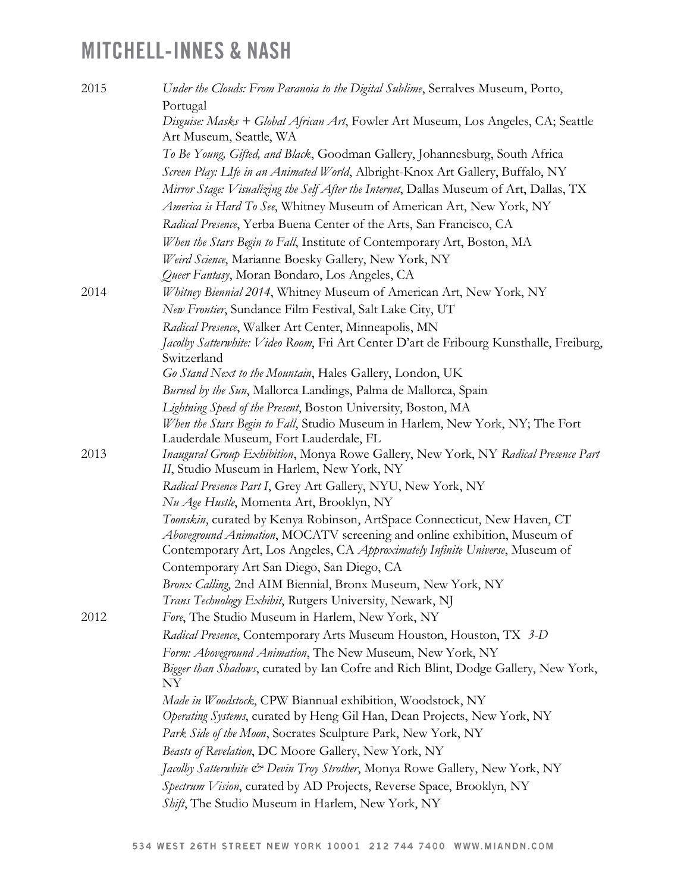| 2015 | Under the Clouds: From Paranoia to the Digital Sublime, Serralves Museum, Porto,                                                                     |
|------|------------------------------------------------------------------------------------------------------------------------------------------------------|
|      | Portugal                                                                                                                                             |
|      | Disguise: Masks + Global African Art, Fowler Art Museum, Los Angeles, CA; Seattle<br>Art Museum, Seattle, WA                                         |
|      | To Be Young, Gifted, and Black, Goodman Gallery, Johannesburg, South Africa                                                                          |
|      | Screen Play: LIfe in an Animated World, Albright-Knox Art Gallery, Buffalo, NY                                                                       |
|      | Mirror Stage: Visualizing the Self After the Internet, Dallas Museum of Art, Dallas, TX                                                              |
|      | America is Hard To See, Whitney Museum of American Art, New York, NY                                                                                 |
|      | Radical Presence, Yerba Buena Center of the Arts, San Francisco, CA                                                                                  |
|      | When the Stars Begin to Fall, Institute of Contemporary Art, Boston, MA                                                                              |
|      | Weird Science, Marianne Boesky Gallery, New York, NY                                                                                                 |
|      | Queer Fantasy, Moran Bondaro, Los Angeles, CA                                                                                                        |
| 2014 | Whitney Biennial 2014, Whitney Museum of American Art, New York, NY                                                                                  |
|      | New Frontier, Sundance Film Festival, Salt Lake City, UT                                                                                             |
|      | Radical Presence, Walker Art Center, Minneapolis, MN                                                                                                 |
|      | Jacolby Satterwhite: Video Room, Fri Art Center D'art de Fribourg Kunsthalle, Freiburg,<br>Switzerland                                               |
|      | Go Stand Next to the Mountain, Hales Gallery, London, UK                                                                                             |
|      | Burned by the Sun, Mallorca Landings, Palma de Mallorca, Spain                                                                                       |
|      | Lightning Speed of the Present, Boston University, Boston, MA                                                                                        |
|      | When the Stars Begin to Fall, Studio Museum in Harlem, New York, NY; The Fort                                                                        |
| 2013 | Lauderdale Museum, Fort Lauderdale, FL                                                                                                               |
|      | Inaugural Group Exhibition, Monya Rowe Gallery, New York, NY Radical Presence Part<br>II, Studio Museum in Harlem, New York, NY                      |
|      | Radical Presence Part I, Grey Art Gallery, NYU, New York, NY<br>Nu Age Hustle, Momenta Art, Brooklyn, NY                                             |
|      | Toonskin, curated by Kenya Robinson, ArtSpace Connecticut, New Haven, CT<br>Aboveground Animation, MOCATV screening and online exhibition, Museum of |
|      | Contemporary Art, Los Angeles, CA Approximately Infinite Universe, Museum of                                                                         |
|      | Contemporary Art San Diego, San Diego, CA                                                                                                            |
|      | Bronx Calling, 2nd AIM Biennial, Bronx Museum, New York, NY<br>Trans Technology Exhibit, Rutgers University, Newark, NJ                              |
| 2012 | Fore, The Studio Museum in Harlem, New York, NY                                                                                                      |
|      | Radical Presence, Contemporary Arts Museum Houston, Houston, TX 3-D                                                                                  |
|      | Form: Aboveground Animation, The New Museum, New York, NY                                                                                            |
|      | Bigger than Shadows, curated by Ian Cofre and Rich Blint, Dodge Gallery, New York,                                                                   |
|      | ΝY                                                                                                                                                   |
|      | Made in Woodstock, CPW Biannual exhibition, Woodstock, NY<br>Operating Systems, curated by Heng Gil Han, Dean Projects, New York, NY                 |
|      | Park Side of the Moon, Socrates Sculpture Park, New York, NY                                                                                         |
|      | Beasts of Revelation, DC Moore Gallery, New York, NY                                                                                                 |
|      | Jacolby Satterwhite & Devin Troy Strother, Monya Rowe Gallery, New York, NY                                                                          |
|      | Spectrum Vision, curated by AD Projects, Reverse Space, Brooklyn, NY                                                                                 |
|      | Shift, The Studio Museum in Harlem, New York, NY                                                                                                     |
|      |                                                                                                                                                      |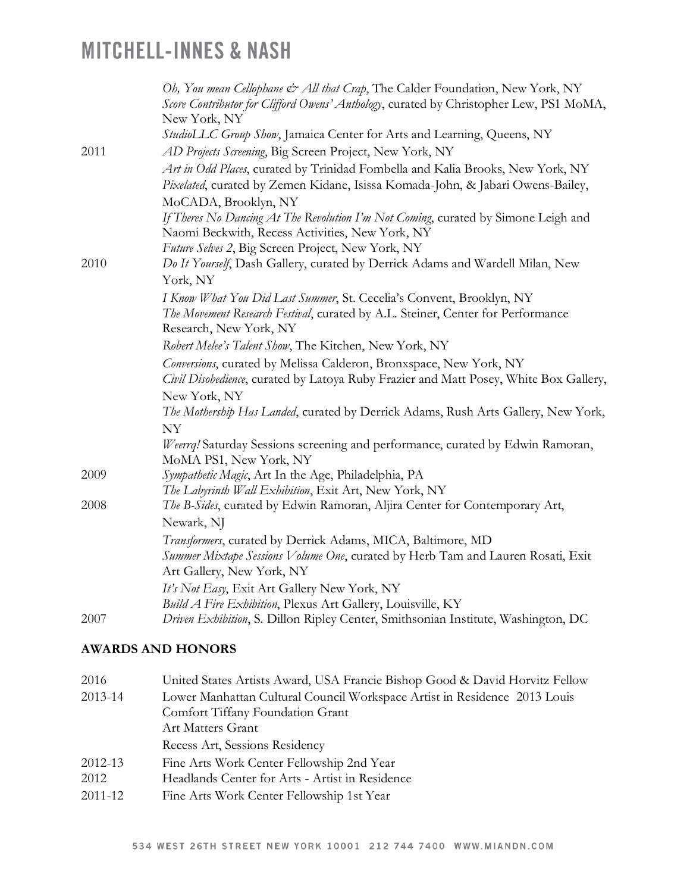|      | Oh, You mean Cellophane & All that Crap, The Calder Foundation, New York, NY<br>Score Contributor for Clifford Owens' Anthology, curated by Christopher Lew, PS1 MoMA,<br>New York, NY |
|------|----------------------------------------------------------------------------------------------------------------------------------------------------------------------------------------|
|      | StudioLLC Group Show, Jamaica Center for Arts and Learning, Queens, NY                                                                                                                 |
| 2011 | AD Projects Screening, Big Screen Project, New York, NY                                                                                                                                |
|      | Art in Odd Places, curated by Trinidad Fombella and Kalia Brooks, New York, NY                                                                                                         |
|      | Pixelated, curated by Zemen Kidane, Isissa Komada-John, & Jabari Owens-Bailey,                                                                                                         |
|      | MoCADA, Brooklyn, NY                                                                                                                                                                   |
|      | If Theres No Dancing At The Revolution I'm Not Coming, curated by Simone Leigh and<br>Naomi Beckwith, Recess Activities, New York, NY                                                  |
|      | Future Selves 2, Big Screen Project, New York, NY                                                                                                                                      |
| 2010 | Do It Yourself, Dash Gallery, curated by Derrick Adams and Wardell Milan, New                                                                                                          |
|      | York, NY                                                                                                                                                                               |
|      | I Know What You Did Last Summer, St. Cecelia's Convent, Brooklyn, NY                                                                                                                   |
|      | The Movement Research Festival, curated by A.L. Steiner, Center for Performance<br>Research, New York, NY                                                                              |
|      | Robert Melee's Talent Show, The Kitchen, New York, NY                                                                                                                                  |
|      | Conversions, curated by Melissa Calderon, Bronxspace, New York, NY<br>Civil Disobedience, curated by Latoya Ruby Frazier and Matt Posey, White Box Gallery,                            |
|      | New York, NY                                                                                                                                                                           |
|      | The Mothership Has Landed, curated by Derrick Adams, Rush Arts Gallery, New York,                                                                                                      |
|      | NY                                                                                                                                                                                     |
|      | Weerrq! Saturday Sessions screening and performance, curated by Edwin Ramoran,<br>MoMA PS1, New York, NY                                                                               |
| 2009 | Sympathetic Magic, Art In the Age, Philadelphia, PA                                                                                                                                    |
|      | The Labyrinth Wall Exhibition, Exit Art, New York, NY                                                                                                                                  |
| 2008 | The B-Sides, curated by Edwin Ramoran, Aljira Center for Contemporary Art,                                                                                                             |
|      | Newark, NJ                                                                                                                                                                             |
|      | Transformers, curated by Derrick Adams, MICA, Baltimore, MD                                                                                                                            |
|      | Summer Mixtape Sessions Volume One, curated by Herb Tam and Lauren Rosati, Exit<br>Art Gallery, New York, NY                                                                           |
|      | It's Not Easy, Exit Art Gallery New York, NY                                                                                                                                           |
|      | Build A Fire Exhibition, Plexus Art Gallery, Louisville, KY                                                                                                                            |
| 2007 | Driven Exhibition, S. Dillon Ripley Center, Smithsonian Institute, Washington, DC                                                                                                      |

### **AWARDS AND HONORS**

| 2016    | United States Artists Award, USA Francie Bishop Good & David Horvitz Fellow |
|---------|-----------------------------------------------------------------------------|
| 2013-14 | Lower Manhattan Cultural Council Workspace Artist in Residence 2013 Louis   |
|         | Comfort Tiffany Foundation Grant                                            |
|         | <b>Art Matters Grant</b>                                                    |
|         | Recess Art, Sessions Residency                                              |
| 2012-13 | Fine Arts Work Center Fellowship 2nd Year                                   |
| 2012    | Headlands Center for Arts - Artist in Residence                             |
| 2011-12 | Fine Arts Work Center Fellowship 1st Year                                   |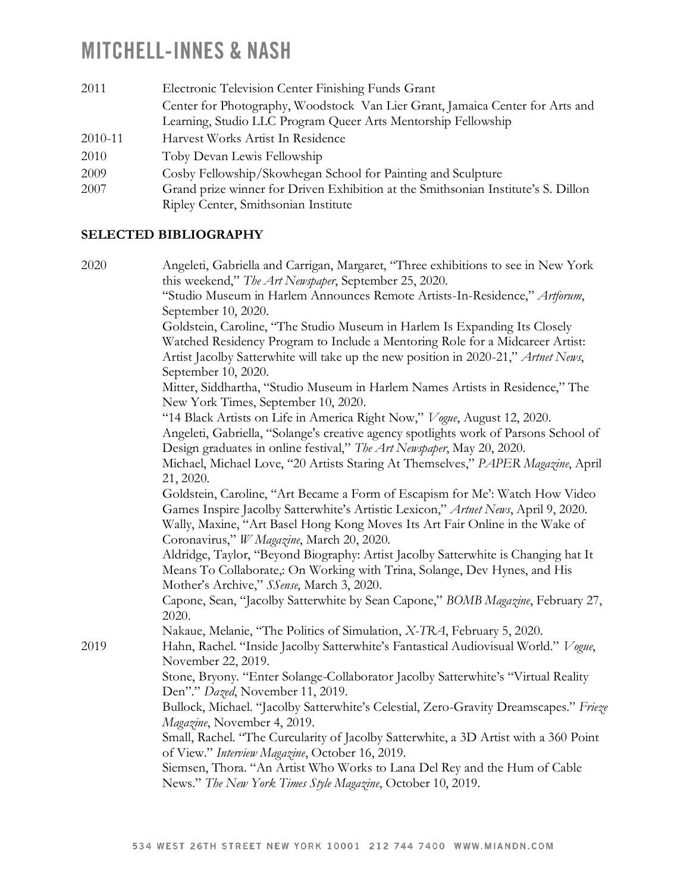| 2011    | Electronic Television Center Finishing Funds Grant                                |
|---------|-----------------------------------------------------------------------------------|
|         | Center for Photography, Woodstock Van Lier Grant, Jamaica Center for Arts and     |
|         | Learning, Studio LLC Program Queer Arts Mentorship Fellowship                     |
| 2010-11 | Harvest Works Artist In Residence                                                 |
| 2010    | Toby Devan Lewis Fellowship                                                       |
| 2009    | Cosby Fellowship/Skowhegan School for Painting and Sculpture                      |
| 2007    | Grand prize winner for Driven Exhibition at the Smithsonian Institute's S. Dillon |
|         | Ripley Center, Smithsonian Institute                                              |

### **SELECTED BIBLIOGRAPHY**

| "Studio Museum in Harlem Announces Remote Artists-In-Residence," Artforum,<br>September 10, 2020.<br>Goldstein, Caroline, "The Studio Museum in Harlem Is Expanding Its Closely<br>Watched Residency Program to Include a Mentoring Role for a Midcareer Artist:<br>Artist Jacolby Satterwhite will take up the new position in 2020-21," Artnet News,<br>September 10, 2020.<br>Mitter, Siddhartha, "Studio Museum in Harlem Names Artists in Residence," The<br>New York Times, September 10, 2020.<br>"14 Black Artists on Life in America Right Now," Vogue, August 12, 2020.<br>Angeleti, Gabriella, "Solange's creative agency spotlights work of Parsons School of<br>Design graduates in online festival," The Art Newspaper, May 20, 2020.<br>Michael, Michael Love, "20 Artists Staring At Themselves," PAPER Magazine, April<br>21, 2020.<br>Goldstein, Caroline, "Art Became a Form of Escapism for Me": Watch How Video<br>Games Inspire Jacolby Satterwhite's Artistic Lexicon," Artnet News, April 9, 2020.<br>Wally, Maxine, "Art Basel Hong Kong Moves Its Art Fair Online in the Wake of<br>Coronavirus," W Magazine, March 20, 2020.<br>Aldridge, Taylor, "Beyond Biography: Artist Jacolby Satterwhite is Changing hat It<br>Means To Collaborate,: On Working with Trina, Solange, Dev Hynes, and His<br>Mother's Archive," SSense, March 3, 2020.<br>Capone, Sean, "Jacolby Satterwhite by Sean Capone," BOMB Magazine, February 27,<br>2020. | 2020 | Angeleti, Gabriella and Carrigan, Margaret, "Three exhibitions to see in New York     |
|---------------------------------------------------------------------------------------------------------------------------------------------------------------------------------------------------------------------------------------------------------------------------------------------------------------------------------------------------------------------------------------------------------------------------------------------------------------------------------------------------------------------------------------------------------------------------------------------------------------------------------------------------------------------------------------------------------------------------------------------------------------------------------------------------------------------------------------------------------------------------------------------------------------------------------------------------------------------------------------------------------------------------------------------------------------------------------------------------------------------------------------------------------------------------------------------------------------------------------------------------------------------------------------------------------------------------------------------------------------------------------------------------------------------------------------------------------------------|------|---------------------------------------------------------------------------------------|
|                                                                                                                                                                                                                                                                                                                                                                                                                                                                                                                                                                                                                                                                                                                                                                                                                                                                                                                                                                                                                                                                                                                                                                                                                                                                                                                                                                                                                                                                     |      | this weekend," The Art Newspaper, September 25, 2020.                                 |
|                                                                                                                                                                                                                                                                                                                                                                                                                                                                                                                                                                                                                                                                                                                                                                                                                                                                                                                                                                                                                                                                                                                                                                                                                                                                                                                                                                                                                                                                     |      |                                                                                       |
|                                                                                                                                                                                                                                                                                                                                                                                                                                                                                                                                                                                                                                                                                                                                                                                                                                                                                                                                                                                                                                                                                                                                                                                                                                                                                                                                                                                                                                                                     |      |                                                                                       |
|                                                                                                                                                                                                                                                                                                                                                                                                                                                                                                                                                                                                                                                                                                                                                                                                                                                                                                                                                                                                                                                                                                                                                                                                                                                                                                                                                                                                                                                                     |      |                                                                                       |
|                                                                                                                                                                                                                                                                                                                                                                                                                                                                                                                                                                                                                                                                                                                                                                                                                                                                                                                                                                                                                                                                                                                                                                                                                                                                                                                                                                                                                                                                     |      |                                                                                       |
|                                                                                                                                                                                                                                                                                                                                                                                                                                                                                                                                                                                                                                                                                                                                                                                                                                                                                                                                                                                                                                                                                                                                                                                                                                                                                                                                                                                                                                                                     |      |                                                                                       |
|                                                                                                                                                                                                                                                                                                                                                                                                                                                                                                                                                                                                                                                                                                                                                                                                                                                                                                                                                                                                                                                                                                                                                                                                                                                                                                                                                                                                                                                                     |      |                                                                                       |
|                                                                                                                                                                                                                                                                                                                                                                                                                                                                                                                                                                                                                                                                                                                                                                                                                                                                                                                                                                                                                                                                                                                                                                                                                                                                                                                                                                                                                                                                     |      |                                                                                       |
|                                                                                                                                                                                                                                                                                                                                                                                                                                                                                                                                                                                                                                                                                                                                                                                                                                                                                                                                                                                                                                                                                                                                                                                                                                                                                                                                                                                                                                                                     |      |                                                                                       |
|                                                                                                                                                                                                                                                                                                                                                                                                                                                                                                                                                                                                                                                                                                                                                                                                                                                                                                                                                                                                                                                                                                                                                                                                                                                                                                                                                                                                                                                                     |      |                                                                                       |
|                                                                                                                                                                                                                                                                                                                                                                                                                                                                                                                                                                                                                                                                                                                                                                                                                                                                                                                                                                                                                                                                                                                                                                                                                                                                                                                                                                                                                                                                     |      |                                                                                       |
|                                                                                                                                                                                                                                                                                                                                                                                                                                                                                                                                                                                                                                                                                                                                                                                                                                                                                                                                                                                                                                                                                                                                                                                                                                                                                                                                                                                                                                                                     |      |                                                                                       |
|                                                                                                                                                                                                                                                                                                                                                                                                                                                                                                                                                                                                                                                                                                                                                                                                                                                                                                                                                                                                                                                                                                                                                                                                                                                                                                                                                                                                                                                                     |      |                                                                                       |
|                                                                                                                                                                                                                                                                                                                                                                                                                                                                                                                                                                                                                                                                                                                                                                                                                                                                                                                                                                                                                                                                                                                                                                                                                                                                                                                                                                                                                                                                     |      |                                                                                       |
|                                                                                                                                                                                                                                                                                                                                                                                                                                                                                                                                                                                                                                                                                                                                                                                                                                                                                                                                                                                                                                                                                                                                                                                                                                                                                                                                                                                                                                                                     |      |                                                                                       |
|                                                                                                                                                                                                                                                                                                                                                                                                                                                                                                                                                                                                                                                                                                                                                                                                                                                                                                                                                                                                                                                                                                                                                                                                                                                                                                                                                                                                                                                                     |      |                                                                                       |
|                                                                                                                                                                                                                                                                                                                                                                                                                                                                                                                                                                                                                                                                                                                                                                                                                                                                                                                                                                                                                                                                                                                                                                                                                                                                                                                                                                                                                                                                     |      |                                                                                       |
|                                                                                                                                                                                                                                                                                                                                                                                                                                                                                                                                                                                                                                                                                                                                                                                                                                                                                                                                                                                                                                                                                                                                                                                                                                                                                                                                                                                                                                                                     |      |                                                                                       |
|                                                                                                                                                                                                                                                                                                                                                                                                                                                                                                                                                                                                                                                                                                                                                                                                                                                                                                                                                                                                                                                                                                                                                                                                                                                                                                                                                                                                                                                                     |      |                                                                                       |
|                                                                                                                                                                                                                                                                                                                                                                                                                                                                                                                                                                                                                                                                                                                                                                                                                                                                                                                                                                                                                                                                                                                                                                                                                                                                                                                                                                                                                                                                     |      |                                                                                       |
|                                                                                                                                                                                                                                                                                                                                                                                                                                                                                                                                                                                                                                                                                                                                                                                                                                                                                                                                                                                                                                                                                                                                                                                                                                                                                                                                                                                                                                                                     |      |                                                                                       |
|                                                                                                                                                                                                                                                                                                                                                                                                                                                                                                                                                                                                                                                                                                                                                                                                                                                                                                                                                                                                                                                                                                                                                                                                                                                                                                                                                                                                                                                                     |      |                                                                                       |
|                                                                                                                                                                                                                                                                                                                                                                                                                                                                                                                                                                                                                                                                                                                                                                                                                                                                                                                                                                                                                                                                                                                                                                                                                                                                                                                                                                                                                                                                     |      | Nakaue, Melanie, "The Politics of Simulation, X-TRA, February 5, 2020.                |
| Hahn, Rachel. "Inside Jacolby Satterwhite's Fantastical Audiovisual World." Vogue,<br>2019                                                                                                                                                                                                                                                                                                                                                                                                                                                                                                                                                                                                                                                                                                                                                                                                                                                                                                                                                                                                                                                                                                                                                                                                                                                                                                                                                                          |      |                                                                                       |
| November 22, 2019.                                                                                                                                                                                                                                                                                                                                                                                                                                                                                                                                                                                                                                                                                                                                                                                                                                                                                                                                                                                                                                                                                                                                                                                                                                                                                                                                                                                                                                                  |      |                                                                                       |
| Stone, Bryony. "Enter Solange-Collaborator Jacolby Satterwhite's "Virtual Reality                                                                                                                                                                                                                                                                                                                                                                                                                                                                                                                                                                                                                                                                                                                                                                                                                                                                                                                                                                                                                                                                                                                                                                                                                                                                                                                                                                                   |      |                                                                                       |
| Den"." Dazed, November 11, 2019.                                                                                                                                                                                                                                                                                                                                                                                                                                                                                                                                                                                                                                                                                                                                                                                                                                                                                                                                                                                                                                                                                                                                                                                                                                                                                                                                                                                                                                    |      |                                                                                       |
|                                                                                                                                                                                                                                                                                                                                                                                                                                                                                                                                                                                                                                                                                                                                                                                                                                                                                                                                                                                                                                                                                                                                                                                                                                                                                                                                                                                                                                                                     |      | Bullock, Michael. "Jacolby Satterwhite's Celestial, Zero-Gravity Dreamscapes." Frieze |
|                                                                                                                                                                                                                                                                                                                                                                                                                                                                                                                                                                                                                                                                                                                                                                                                                                                                                                                                                                                                                                                                                                                                                                                                                                                                                                                                                                                                                                                                     |      | Magazine, November 4, 2019.                                                           |
|                                                                                                                                                                                                                                                                                                                                                                                                                                                                                                                                                                                                                                                                                                                                                                                                                                                                                                                                                                                                                                                                                                                                                                                                                                                                                                                                                                                                                                                                     |      | Small, Rachel. "The Curcularity of Jacolby Satterwhite, a 3D Artist with a 360 Point  |
|                                                                                                                                                                                                                                                                                                                                                                                                                                                                                                                                                                                                                                                                                                                                                                                                                                                                                                                                                                                                                                                                                                                                                                                                                                                                                                                                                                                                                                                                     |      | of View." Interview Magazine, October 16, 2019.                                       |
|                                                                                                                                                                                                                                                                                                                                                                                                                                                                                                                                                                                                                                                                                                                                                                                                                                                                                                                                                                                                                                                                                                                                                                                                                                                                                                                                                                                                                                                                     |      | Siemsen, Thora. "An Artist Who Works to Lana Del Rey and the Hum of Cable             |
|                                                                                                                                                                                                                                                                                                                                                                                                                                                                                                                                                                                                                                                                                                                                                                                                                                                                                                                                                                                                                                                                                                                                                                                                                                                                                                                                                                                                                                                                     |      | News." The New York Times Style Magazine, October 10, 2019.                           |
|                                                                                                                                                                                                                                                                                                                                                                                                                                                                                                                                                                                                                                                                                                                                                                                                                                                                                                                                                                                                                                                                                                                                                                                                                                                                                                                                                                                                                                                                     |      |                                                                                       |
|                                                                                                                                                                                                                                                                                                                                                                                                                                                                                                                                                                                                                                                                                                                                                                                                                                                                                                                                                                                                                                                                                                                                                                                                                                                                                                                                                                                                                                                                     |      |                                                                                       |
|                                                                                                                                                                                                                                                                                                                                                                                                                                                                                                                                                                                                                                                                                                                                                                                                                                                                                                                                                                                                                                                                                                                                                                                                                                                                                                                                                                                                                                                                     |      |                                                                                       |
|                                                                                                                                                                                                                                                                                                                                                                                                                                                                                                                                                                                                                                                                                                                                                                                                                                                                                                                                                                                                                                                                                                                                                                                                                                                                                                                                                                                                                                                                     |      |                                                                                       |
|                                                                                                                                                                                                                                                                                                                                                                                                                                                                                                                                                                                                                                                                                                                                                                                                                                                                                                                                                                                                                                                                                                                                                                                                                                                                                                                                                                                                                                                                     |      |                                                                                       |
|                                                                                                                                                                                                                                                                                                                                                                                                                                                                                                                                                                                                                                                                                                                                                                                                                                                                                                                                                                                                                                                                                                                                                                                                                                                                                                                                                                                                                                                                     |      |                                                                                       |
|                                                                                                                                                                                                                                                                                                                                                                                                                                                                                                                                                                                                                                                                                                                                                                                                                                                                                                                                                                                                                                                                                                                                                                                                                                                                                                                                                                                                                                                                     |      |                                                                                       |
|                                                                                                                                                                                                                                                                                                                                                                                                                                                                                                                                                                                                                                                                                                                                                                                                                                                                                                                                                                                                                                                                                                                                                                                                                                                                                                                                                                                                                                                                     |      |                                                                                       |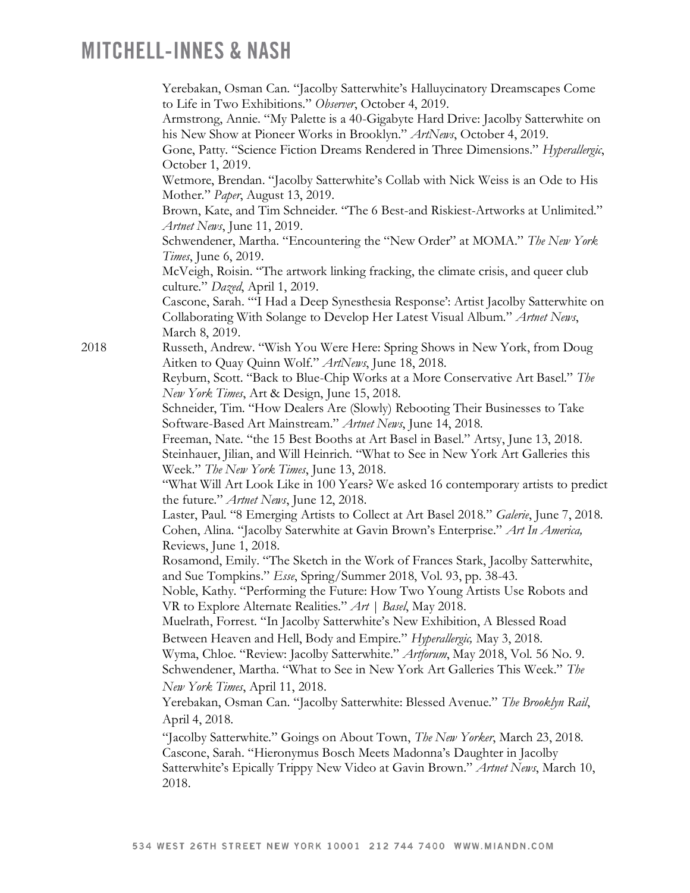|      | Yerebakan, Osman Can. "Jacolby Satterwhite's Halluycinatory Dreamscapes Come<br>to Life in Two Exhibitions." Observer, October 4, 2019.<br>Armstrong, Annie. "My Palette is a 40-Gigabyte Hard Drive: Jacolby Satterwhite on<br>his New Show at Pioneer Works in Brooklyn." ArtNews, October 4, 2019.<br>Gone, Patty. "Science Fiction Dreams Rendered in Three Dimensions." Hyperallergic,<br>October 1, 2019. |
|------|-----------------------------------------------------------------------------------------------------------------------------------------------------------------------------------------------------------------------------------------------------------------------------------------------------------------------------------------------------------------------------------------------------------------|
|      | Wetmore, Brendan. "Jacolby Satterwhite's Collab with Nick Weiss is an Ode to His<br>Mother." Paper, August 13, 2019.                                                                                                                                                                                                                                                                                            |
|      | Brown, Kate, and Tim Schneider. "The 6 Best-and Riskiest-Artworks at Unlimited."<br>Artnet News, June 11, 2019.                                                                                                                                                                                                                                                                                                 |
|      | Schwendener, Martha. "Encountering the "New Order" at MOMA." The New York<br>Times, June 6, 2019.                                                                                                                                                                                                                                                                                                               |
|      | McVeigh, Roisin. "The artwork linking fracking, the climate crisis, and queer club<br>culture." Dazed, April 1, 2019.                                                                                                                                                                                                                                                                                           |
|      | Cascone, Sarah. "'I Had a Deep Synesthesia Response': Artist Jacolby Satterwhite on<br>Collaborating With Solange to Develop Her Latest Visual Album." Artnet News,<br>March 8, 2019.                                                                                                                                                                                                                           |
| 2018 | Russeth, Andrew. "Wish You Were Here: Spring Shows in New York, from Doug<br>Aitken to Quay Quinn Wolf." ArtNews, June 18, 2018.                                                                                                                                                                                                                                                                                |
|      | Reyburn, Scott. "Back to Blue-Chip Works at a More Conservative Art Basel." The<br>New York Times, Art & Design, June 15, 2018.                                                                                                                                                                                                                                                                                 |
|      | Schneider, Tim. "How Dealers Are (Slowly) Rebooting Their Businesses to Take<br>Software-Based Art Mainstream." Artnet News, June 14, 2018.                                                                                                                                                                                                                                                                     |
|      | Freeman, Nate. "the 15 Best Booths at Art Basel in Basel." Artsy, June 13, 2018.<br>Steinhauer, Jilian, and Will Heinrich. "What to See in New York Art Galleries this<br>Week." The New York Times, June 13, 2018.                                                                                                                                                                                             |
|      | "What Will Art Look Like in 100 Years? We asked 16 contemporary artists to predict<br>the future." Artnet News, June 12, 2018.                                                                                                                                                                                                                                                                                  |
|      | Laster, Paul. "8 Emerging Artists to Collect at Art Basel 2018." Galerie, June 7, 2018.<br>Cohen, Alina. "Jacolby Saterwhite at Gavin Brown's Enterprise." Art In America,<br>Reviews, June 1, 2018.                                                                                                                                                                                                            |
|      | Rosamond, Emily. "The Sketch in the Work of Frances Stark, Jacolby Satterwhite,<br>and Sue Tompkins." Esse, Spring/Summer 2018, Vol. 93, pp. 38-43.                                                                                                                                                                                                                                                             |
|      | Noble, Kathy. "Performing the Future: How Two Young Artists Use Robots and<br>VR to Explore Alternate Realities." Art   Basel, May 2018.                                                                                                                                                                                                                                                                        |
|      | Muelrath, Forrest. "In Jacolby Satterwhite's New Exhibition, A Blessed Road<br>Between Heaven and Hell, Body and Empire." Hyperallergic, May 3, 2018.                                                                                                                                                                                                                                                           |
|      | Wyma, Chloe. "Review: Jacolby Satterwhite." Artforum, May 2018, Vol. 56 No. 9.<br>Schwendener, Martha. "What to See in New York Art Galleries This Week." The                                                                                                                                                                                                                                                   |
|      | New York Times, April 11, 2018.<br>Yerebakan, Osman Can. "Jacolby Satterwhite: Blessed Avenue." The Brooklyn Rail,                                                                                                                                                                                                                                                                                              |
|      | April 4, 2018.                                                                                                                                                                                                                                                                                                                                                                                                  |
|      | "Jacolby Satterwhite." Goings on About Town, The New Yorker, March 23, 2018.<br>Cascone, Sarah. "Hieronymus Bosch Meets Madonna's Daughter in Jacolby<br>Satterwhite's Epically Trippy New Video at Gavin Brown." Artnet News, March 10,<br>2018.                                                                                                                                                               |
|      |                                                                                                                                                                                                                                                                                                                                                                                                                 |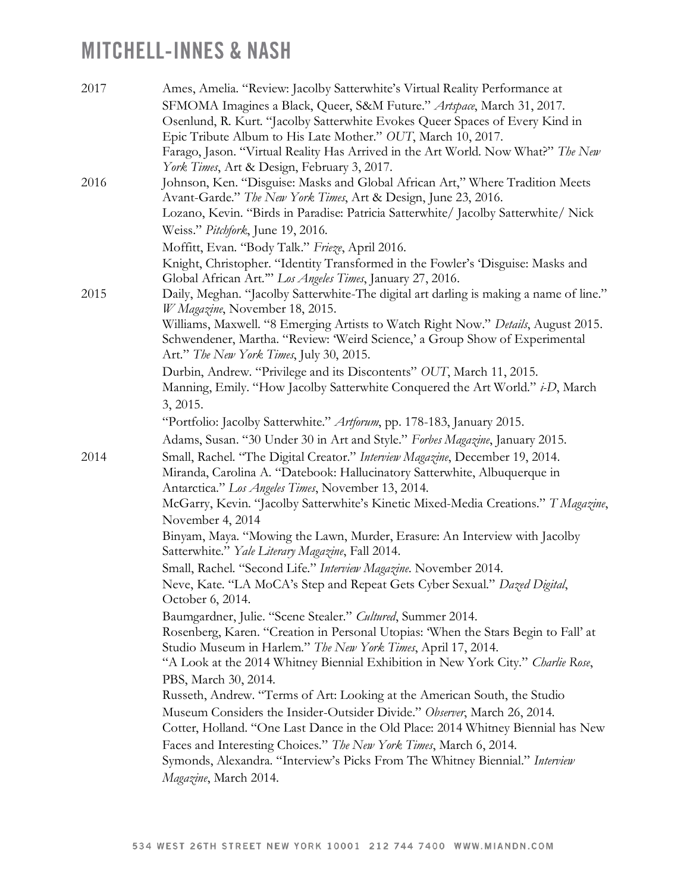| 2017 | Ames, Amelia. "Review: Jacolby Satterwhite's Virtual Reality Performance at<br>SFMOMA Imagines a Black, Queer, S&M Future." Artspace, March 31, 2017.<br>Osenlund, R. Kurt. "Jacolby Satterwhite Evokes Queer Spaces of Every Kind in<br>Epic Tribute Album to His Late Mother." OUT, March 10, 2017.<br>Farago, Jason. "Virtual Reality Has Arrived in the Art World. Now What?" The New<br>York Times, Art & Design, February 3, 2017. |
|------|------------------------------------------------------------------------------------------------------------------------------------------------------------------------------------------------------------------------------------------------------------------------------------------------------------------------------------------------------------------------------------------------------------------------------------------|
| 2016 | Johnson, Ken. "Disguise: Masks and Global African Art," Where Tradition Meets<br>Avant-Garde." The New York Times, Art & Design, June 23, 2016.<br>Lozano, Kevin. "Birds in Paradise: Patricia Satterwhite/ Jacolby Satterwhite/ Nick<br>Weiss." Pitchfork, June 19, 2016.                                                                                                                                                               |
| 2015 | Moffitt, Evan. "Body Talk." Frieze, April 2016.<br>Knight, Christopher. "Identity Transformed in the Fowler's 'Disguise: Masks and<br>Global African Art." Los Angeles Times, January 27, 2016.<br>Daily, Meghan. "Jacolby Satterwhite-The digital art darling is making a name of line."                                                                                                                                                |
|      | W Magazine, November 18, 2015.<br>Williams, Maxwell. "8 Emerging Artists to Watch Right Now." Details, August 2015.<br>Schwendener, Martha. "Review: 'Weird Science,' a Group Show of Experimental<br>Art." The New York Times, July 30, 2015.                                                                                                                                                                                           |
|      | Durbin, Andrew. "Privilege and its Discontents" OUT, March 11, 2015.<br>Manning, Emily. "How Jacolby Satterwhite Conquered the Art World." i-D, March<br>3, 2015.                                                                                                                                                                                                                                                                        |
|      | "Portfolio: Jacolby Satterwhite." Artforum, pp. 178-183, January 2015.                                                                                                                                                                                                                                                                                                                                                                   |
| 2014 | Adams, Susan. "30 Under 30 in Art and Style." Forbes Magazine, January 2015.<br>Small, Rachel. "The Digital Creator." Interview Magazine, December 19, 2014.                                                                                                                                                                                                                                                                             |
|      | Miranda, Carolina A. "Datebook: Hallucinatory Satterwhite, Albuquerque in<br>Antarctica." Los Angeles Times, November 13, 2014.                                                                                                                                                                                                                                                                                                          |
|      | McGarry, Kevin. "Jacolby Satterwhite's Kinetic Mixed-Media Creations." T Magazine,<br>November 4, 2014                                                                                                                                                                                                                                                                                                                                   |
|      | Binyam, Maya. "Mowing the Lawn, Murder, Erasure: An Interview with Jacolby<br>Satterwhite." Yale Literary Magazine, Fall 2014.                                                                                                                                                                                                                                                                                                           |
|      | Small, Rachel. "Second Life." Interview Magazine. November 2014.<br>Neve, Kate. "LA MoCA's Step and Repeat Gets Cyber Sexual." Dazed Digital,<br>October 6, 2014.                                                                                                                                                                                                                                                                        |
|      | Baumgardner, Julie. "Scene Stealer." Cultured, Summer 2014.<br>Rosenberg, Karen. "Creation in Personal Utopias: 'When the Stars Begin to Fall' at<br>Studio Museum in Harlem." The New York Times, April 17, 2014.                                                                                                                                                                                                                       |
|      | "A Look at the 2014 Whitney Biennial Exhibition in New York City." Charlie Rose,<br>PBS, March 30, 2014.                                                                                                                                                                                                                                                                                                                                 |
|      | Russeth, Andrew. "Terms of Art: Looking at the American South, the Studio<br>Museum Considers the Insider-Outsider Divide." Observer, March 26, 2014.<br>Cotter, Holland. "One Last Dance in the Old Place: 2014 Whitney Biennial has New                                                                                                                                                                                                |
|      | Faces and Interesting Choices." The New York Times, March 6, 2014.<br>Symonds, Alexandra. "Interview's Picks From The Whitney Biennial." Interview<br>Magazine, March 2014.                                                                                                                                                                                                                                                              |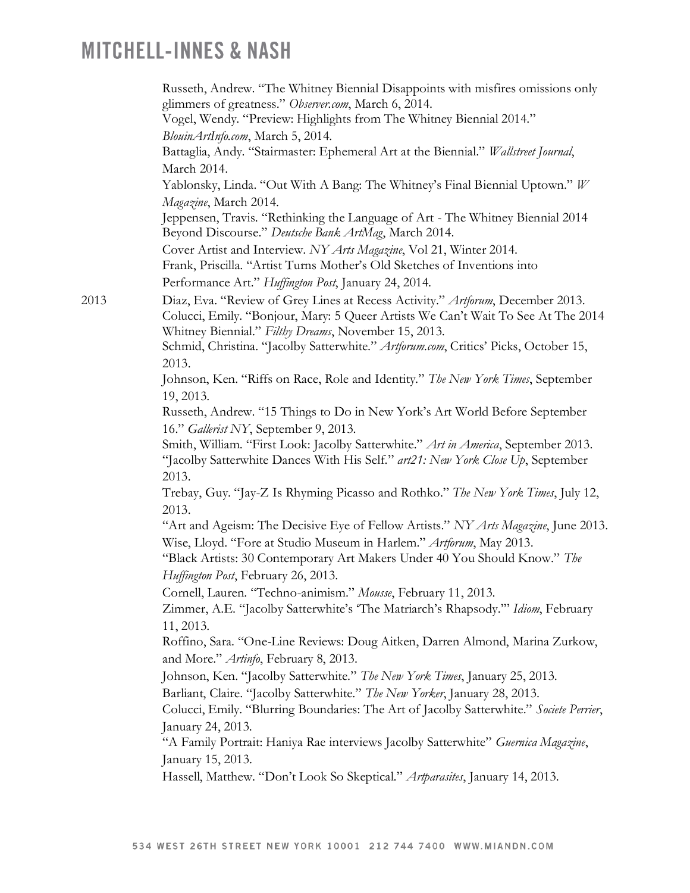|      | Russeth, Andrew. "The Whitney Biennial Disappoints with misfires omissions only<br>glimmers of greatness." Observer.com, March 6, 2014.                                                                                    |
|------|----------------------------------------------------------------------------------------------------------------------------------------------------------------------------------------------------------------------------|
|      | Vogel, Wendy. "Preview: Highlights from The Whitney Biennial 2014."                                                                                                                                                        |
|      | BlouinArtInfo.com, March 5, 2014.                                                                                                                                                                                          |
|      | Battaglia, Andy. "Stairmaster: Ephemeral Art at the Biennial." Wallstreet Journal,                                                                                                                                         |
|      | March 2014.                                                                                                                                                                                                                |
|      | Yablonsky, Linda. "Out With A Bang: The Whitney's Final Biennial Uptown." W                                                                                                                                                |
|      | Magazine, March 2014.                                                                                                                                                                                                      |
|      | Jeppensen, Travis. "Rethinking the Language of Art - The Whitney Biennial 2014<br>Beyond Discourse." Deutsche Bank ArtMag, March 2014.                                                                                     |
|      | Cover Artist and Interview. NY Arts Magazine, Vol 21, Winter 2014.                                                                                                                                                         |
|      | Frank, Priscilla. "Artist Turns Mother's Old Sketches of Inventions into                                                                                                                                                   |
|      | Performance Art." Huffington Post, January 24, 2014.                                                                                                                                                                       |
| 2013 | Diaz, Eva. "Review of Grey Lines at Recess Activity." Artforum, December 2013.<br>Colucci, Emily. "Bonjour, Mary: 5 Queer Artists We Can't Wait To See At The 2014<br>Whitney Biennial." Filthy Dreams, November 15, 2013. |
|      | Schmid, Christina. "Jacolby Satterwhite." Artforum.com, Critics' Picks, October 15,<br>2013.                                                                                                                               |
|      | Johnson, Ken. "Riffs on Race, Role and Identity." The New York Times, September                                                                                                                                            |
|      | 19, 2013.                                                                                                                                                                                                                  |
|      | Russeth, Andrew. "15 Things to Do in New York's Art World Before September                                                                                                                                                 |
|      | 16." Gallerist NY, September 9, 2013.                                                                                                                                                                                      |
|      | Smith, William. "First Look: Jacolby Satterwhite." Art in America, September 2013.<br>"Jacolby Satterwhite Dances With His Self." art21: New York Close Up, September<br>2013.                                             |
|      | Trebay, Guy. "Jay-Z Is Rhyming Picasso and Rothko." The New York Times, July 12,<br>2013.                                                                                                                                  |
|      | "Art and Ageism: The Decisive Eye of Fellow Artists." NY Arts Magazine, June 2013.<br>Wise, Lloyd. "Fore at Studio Museum in Harlem." Artforum, May 2013.                                                                  |
|      | "Black Artists: 30 Contemporary Art Makers Under 40 You Should Know." The<br>Huffington Post, February 26, 2013.                                                                                                           |
|      | Cornell, Lauren. "Techno-animism." Mousse, February 11, 2013.                                                                                                                                                              |
|      | Zimmer, A.E. "Jacolby Satterwhite's 'The Matriarch's Rhapsody."" Idiom, February<br>11, 2013.                                                                                                                              |
|      | Roffino, Sara. "One-Line Reviews: Doug Aitken, Darren Almond, Marina Zurkow,                                                                                                                                               |
|      | and More." Artinfo, February 8, 2013.                                                                                                                                                                                      |
|      | Johnson, Ken. "Jacolby Satterwhite." The New York Times, January 25, 2013.                                                                                                                                                 |
|      | Barliant, Claire. "Jacolby Satterwhite." The New Yorker, January 28, 2013.                                                                                                                                                 |
|      | Colucci, Emily. "Blurring Boundaries: The Art of Jacolby Satterwhite." Societe Perrier,                                                                                                                                    |
|      | January 24, 2013.<br>"A Family Portrait: Haniya Rae interviews Jacolby Satterwhite" Guernica Magazine,                                                                                                                     |
|      | January 15, 2013.                                                                                                                                                                                                          |
|      | Hassell, Matthew. "Don't Look So Skeptical." Artparasites, January 14, 2013.                                                                                                                                               |
|      |                                                                                                                                                                                                                            |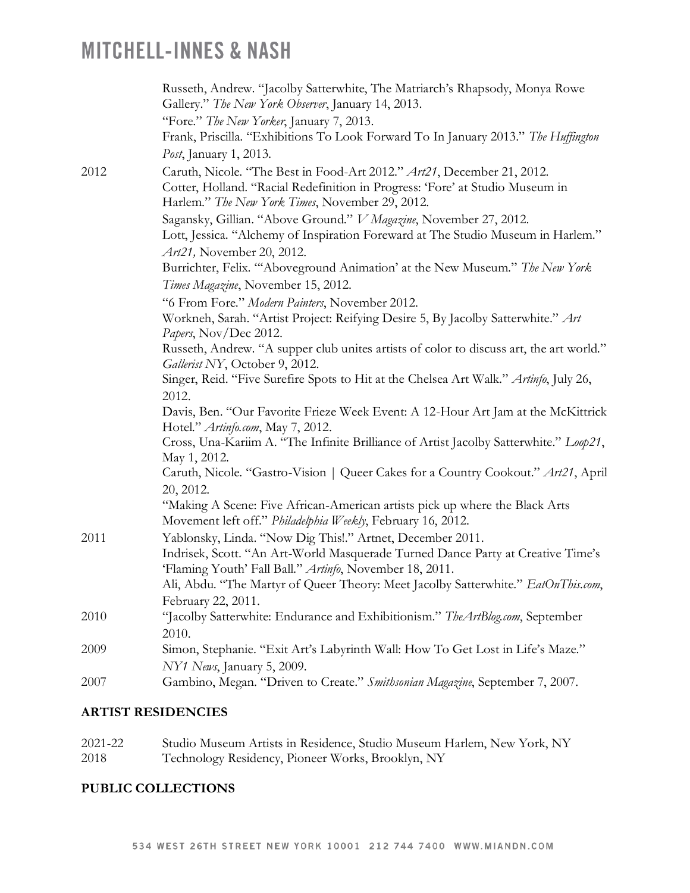|      | Russeth, Andrew. "Jacolby Satterwhite, The Matriarch's Rhapsody, Monya Rowe<br>Gallery." The New York Observer, January 14, 2013.            |
|------|----------------------------------------------------------------------------------------------------------------------------------------------|
|      | "Fore." The New Yorker, January 7, 2013.                                                                                                     |
|      | Frank, Priscilla. "Exhibitions To Look Forward To In January 2013." The Huffington                                                           |
|      | Post, January 1, 2013.                                                                                                                       |
| 2012 | Caruth, Nicole. "The Best in Food-Art 2012." Art21, December 21, 2012.                                                                       |
|      | Cotter, Holland. "Racial Redefinition in Progress: 'Fore' at Studio Museum in<br>Harlem." The New York Times, November 29, 2012.             |
|      | Sagansky, Gillian. "Above Ground." V Magazine, November 27, 2012.                                                                            |
|      | Lott, Jessica. "Alchemy of Inspiration Foreward at The Studio Museum in Harlem."                                                             |
|      | Art21, November 20, 2012.                                                                                                                    |
|      | Burrichter, Felix. ""Aboveground Animation' at the New Museum." The New York                                                                 |
|      | Times Magazine, November 15, 2012.                                                                                                           |
|      | "6 From Fore." Modern Painters, November 2012.                                                                                               |
|      | Workneh, Sarah. "Artist Project: Reifying Desire 5, By Jacolby Satterwhite." Art                                                             |
|      | Papers, Nov/Dec 2012.<br>Russeth, Andrew. "A supper club unites artists of color to discuss art, the art world."                             |
|      | Gallerist NY, October 9, 2012.                                                                                                               |
|      | Singer, Reid. "Five Surefire Spots to Hit at the Chelsea Art Walk." Artinfo, July 26,                                                        |
|      | 2012.                                                                                                                                        |
|      | Davis, Ben. "Our Favorite Frieze Week Event: A 12-Hour Art Jam at the McKittrick                                                             |
|      | Hotel." Artinfo.com, May 7, 2012.                                                                                                            |
|      | Cross, Una-Kariim A. "The Infinite Brilliance of Artist Jacolby Satterwhite." Loop21,<br>May 1, 2012.                                        |
|      | Caruth, Nicole. "Gastro-Vision   Queer Cakes for a Country Cookout." Art21, April                                                            |
|      | 20, 2012.                                                                                                                                    |
|      | "Making A Scene: Five African-American artists pick up where the Black Arts<br>Movement left off." Philadelphia Weekly, February 16, 2012.   |
| 2011 | Yablonsky, Linda. "Now Dig This!." Artnet, December 2011.                                                                                    |
|      | Indrisek, Scott. "An Art-World Masquerade Turned Dance Party at Creative Time's                                                              |
|      | 'Flaming Youth' Fall Ball." Artinfo, November 18, 2011.<br>Ali, Abdu. "The Martyr of Queer Theory: Meet Jacolby Satterwhite." EatOnThis.com, |
|      |                                                                                                                                              |
| 2010 | February 22, 2011.<br>"Jacolby Satterwhite: Endurance and Exhibitionism." The ArtBlog.com, September                                         |
|      | 2010.                                                                                                                                        |
| 2009 | Simon, Stephanie. "Exit Art's Labyrinth Wall: How To Get Lost in Life's Maze."                                                               |
|      | NY1 News, January 5, 2009.                                                                                                                   |
| 2007 | Gambino, Megan. "Driven to Create." Smithsonian Magazine, September 7, 2007.                                                                 |
|      |                                                                                                                                              |

#### **ARTIST RESIDENCIES**

| 2021-22 | Studio Museum Artists in Residence, Studio Museum Harlem, New York, NY |
|---------|------------------------------------------------------------------------|
| 2018    | Technology Residency, Pioneer Works, Brooklyn, NY                      |

### **PUBLIC COLLECTIONS**